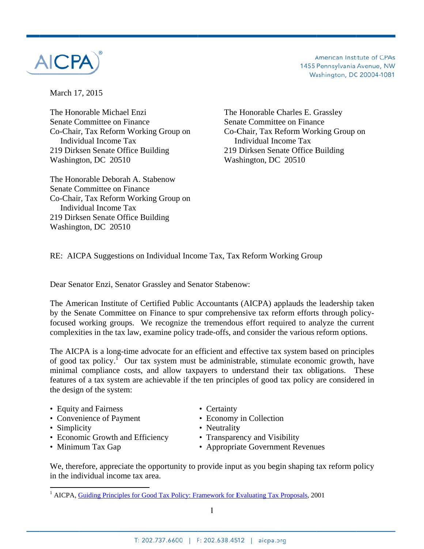

American Institute of CPAs 1455 Pennsylvania Avenue, NW Washington, DC 20004-1081

March 17 7, 2015

The Hon orable Mich hael Enzi Senate Committee on Finance Co-Chair, Tax Reform Working Group on Individual Income Tax 219 Dirksen Senate Office Building Washington, DC 20510

The Honorable Deborah A. Stabenow Senate Committee on Finance Co-Chair, Tax Reform Working Group on Individual Income Tax 219 Dirksen Senate Office Building Washington, DC 20510

 The Honorable C Charles E. G Grassley Senate Committee on Finance Co-Chair, Tax Reform Working Group on In ndividual In ncome Tax 219 Dirksen Senate Office Building Washington, DC 20510

RE: AICPA Suggestions on Individual Income Tax, Tax Reform Working Group

Dear Senator Enzi, Senator Grassley and Senator Stabenow:

The American Institute of Certified Public Accountants (AICPA) applauds the leadership taken by the Senate Committee on Finance to spur comprehensive tax reform efforts through policyfocused working groups. We recognize the tremendous effort required to analyze the current complexities in the tax law, examine policy trade-offs, and consider the various reform options.

The AICPA is a long-time advocate for an efficient and effective tax system based on principles of good tax policy.<sup>1</sup> Our tax system must be administrable, stimulate economic growth, have minimal compliance costs, and allow taxpayers to understand their tax obligations. These features of a tax system are achievable if the ten principles of good tax policy are considered in the design of the system:

- Equity and Fairness
- Convenience of Payment

- Simpli city
- Economic Growth and Efficiency

 $\overline{\phantom{a}}$ 

• Minimum Tax Gap

- Certainty
- Economy in Collection
- Neutrality
- Transparency and Visibility
- Appropriate Government Revenues

We, therefore, appreciate the opportunity to provide input as you begin shaping tax reform policy in the individual income tax area.

 $\frac{1}{1}$  AICPA,  $\frac{G}{1}$ **Guiding Princi** iples for Good Tax Policy: Framework for Evaluating Tax Proposals, 2001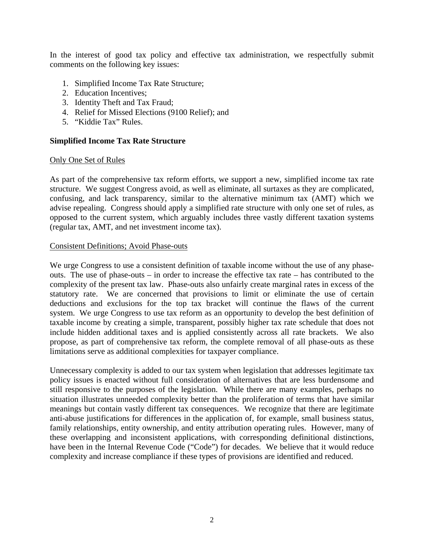In the interest of good tax policy and effective tax administration, we respectfully submit comments on the following key issues:

- 1. Simplified Income Tax Rate Structure;
- 2. Education Incentives;
- 3. Identity Theft and Tax Fraud;
- 4. Relief for Missed Elections (9100 Relief); and
- 5. "Kiddie Tax" Rules.

## **Simplified Income Tax Rate Structure**

## Only One Set of Rules

As part of the comprehensive tax reform efforts, we support a new, simplified income tax rate structure. We suggest Congress avoid, as well as eliminate, all surtaxes as they are complicated, confusing, and lack transparency, similar to the alternative minimum tax (AMT) which we advise repealing. Congress should apply a simplified rate structure with only one set of rules, as opposed to the current system, which arguably includes three vastly different taxation systems (regular tax, AMT, and net investment income tax).

### Consistent Definitions; Avoid Phase-outs

We urge Congress to use a consistent definition of taxable income without the use of any phaseouts. The use of phase-outs – in order to increase the effective tax rate – has contributed to the complexity of the present tax law. Phase-outs also unfairly create marginal rates in excess of the statutory rate. We are concerned that provisions to limit or eliminate the use of certain deductions and exclusions for the top tax bracket will continue the flaws of the current system. We urge Congress to use tax reform as an opportunity to develop the best definition of taxable income by creating a simple, transparent, possibly higher tax rate schedule that does not include hidden additional taxes and is applied consistently across all rate brackets. We also propose, as part of comprehensive tax reform, the complete removal of all phase-outs as these limitations serve as additional complexities for taxpayer compliance.

Unnecessary complexity is added to our tax system when legislation that addresses legitimate tax policy issues is enacted without full consideration of alternatives that are less burdensome and still responsive to the purposes of the legislation. While there are many examples, perhaps no situation illustrates unneeded complexity better than the proliferation of terms that have similar meanings but contain vastly different tax consequences. We recognize that there are legitimate anti-abuse justifications for differences in the application of, for example, small business status, family relationships, entity ownership, and entity attribution operating rules. However, many of these overlapping and inconsistent applications, with corresponding definitional distinctions, have been in the Internal Revenue Code ("Code") for decades. We believe that it would reduce complexity and increase compliance if these types of provisions are identified and reduced.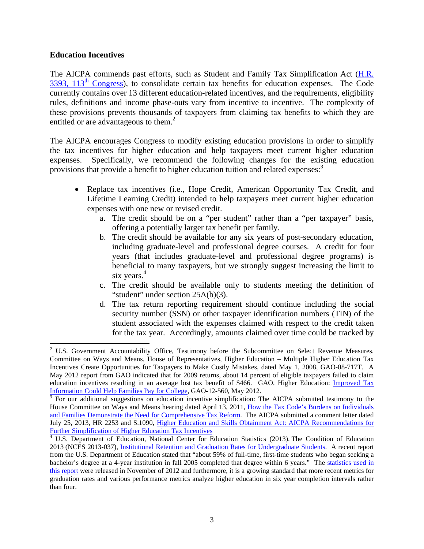## **Education Incentives**

The AICPA commends past efforts, such as Student and Family Tax Simplification Act (H.R.  $3393$ ,  $113<sup>th</sup>$  Congress), to consolidate certain tax benefits for education expenses. The Code currently contains over 13 different education-related incentives, and the requirements, eligibility rules, definitions and income phase-outs vary from incentive to incentive. The complexity of these provisions prevents thousands of taxpayers from claiming tax benefits to which they are entitled or are advantageous to them.<sup>2</sup>

The AICPA encourages Congress to modify existing education provisions in order to simplify the tax incentives for higher education and help taxpayers meet current higher education expenses. Specifically, we recommend the following changes for the existing education provisions that provide a benefit to higher education tuition and related expenses:<sup>3</sup>

- Replace tax incentives (i.e., Hope Credit, American Opportunity Tax Credit, and Lifetime Learning Credit) intended to help taxpayers meet current higher education expenses with one new or revised credit.
	- a. The credit should be on a "per student" rather than a "per taxpayer" basis, offering a potentially larger tax benefit per family.
	- b. The credit should be available for any six years of post-secondary education, including graduate-level and professional degree courses. A credit for four years (that includes graduate-level and professional degree programs) is beneficial to many taxpayers, but we strongly suggest increasing the limit to six years.<sup>4</sup>
	- c. The credit should be available only to students meeting the definition of "student" under section 25A(b)(3).
	- d. The tax return reporting requirement should continue including the social security number (SSN) or other taxpayer identification numbers (TIN) of the student associated with the expenses claimed with respect to the credit taken for the tax year. Accordingly, amounts claimed over time could be tracked by

 $2$  U.S. Government Accountability Office, Testimony before the Subcommittee on Select Revenue Measures, Committee on Ways and Means, House of Representatives, Higher Education – Multiple Higher Education Tax Incentives Create Opportunities for Taxpayers to Make Costly Mistakes, dated May 1, 2008, GAO-08-717T. A May 2012 report from GAO indicated that for 2009 returns, about 14 percent of eligible taxpayers failed to claim education incentives resulting in an average lost tax benefit of \$466. GAO, Higher Education: Improved Tax Information Could Help Families Pay for College, GAO-12-560, May 2012.<br><sup>3</sup> For our additional suggestions on education incentive simplification: The AICPA submitted testimony to the

House Committee on Ways and Means hearing dated April 13, 2011, How the Tax Code's Burdens on Individuals and Families Demonstrate the Need for Comprehensive Tax Reform. The AICPA submitted a comment letter dated July 25, 2013, HR 2253 and S.1090, Higher Education and Skills Obtainment Act: AICPA Recommendations for Further Simplification of Higher Education Tax Incentives

<sup>&</sup>lt;sup>4</sup> U.S. Department of Education, National Center for Education Statistics (2013). The Condition of Education 2013 (NCES 2013-037), Institutional Retention and Graduation Rates for Undergraduate Students. A recent report from the U.S. Department of Education stated that "about 59% of full-time, first-time students who began seeking a bachelor's degree at a 4-year institution in fall 2005 completed that degree within 6 years." The statistics used in this report were released in November of 2012 and furthermore, it is a growing standard that more recent metrics for graduation rates and various performance metrics analyze higher education in six year completion intervals rather than four.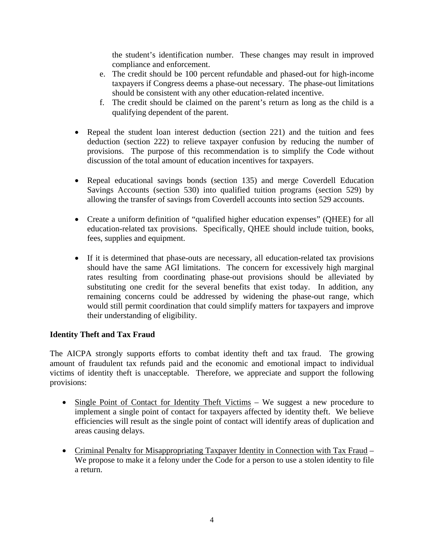the student's identification number. These changes may result in improved compliance and enforcement.

- e. The credit should be 100 percent refundable and phased-out for high-income taxpayers if Congress deems a phase-out necessary. The phase-out limitations should be consistent with any other education-related incentive.
- f. The credit should be claimed on the parent's return as long as the child is a qualifying dependent of the parent.
- Repeal the student loan interest deduction (section 221) and the tuition and fees deduction (section 222) to relieve taxpayer confusion by reducing the number of provisions. The purpose of this recommendation is to simplify the Code without discussion of the total amount of education incentives for taxpayers.
- Repeal educational savings bonds (section 135) and merge Coverdell Education Savings Accounts (section 530) into qualified tuition programs (section 529) by allowing the transfer of savings from Coverdell accounts into section 529 accounts.
- Create a uniform definition of "qualified higher education expenses" (QHEE) for all education-related tax provisions. Specifically, QHEE should include tuition, books, fees, supplies and equipment.
- If it is determined that phase-outs are necessary, all education-related tax provisions should have the same AGI limitations. The concern for excessively high marginal rates resulting from coordinating phase-out provisions should be alleviated by substituting one credit for the several benefits that exist today. In addition, any remaining concerns could be addressed by widening the phase-out range, which would still permit coordination that could simplify matters for taxpayers and improve their understanding of eligibility.

# **Identity Theft and Tax Fraud**

The AICPA strongly supports efforts to combat identity theft and tax fraud. The growing amount of fraudulent tax refunds paid and the economic and emotional impact to individual victims of identity theft is unacceptable. Therefore, we appreciate and support the following provisions:

- Single Point of Contact for Identity Theft Victims We suggest a new procedure to implement a single point of contact for taxpayers affected by identity theft. We believe efficiencies will result as the single point of contact will identify areas of duplication and areas causing delays.
- Criminal Penalty for Misappropriating Taxpayer Identity in Connection with Tax Fraud We propose to make it a felony under the Code for a person to use a stolen identity to file a return.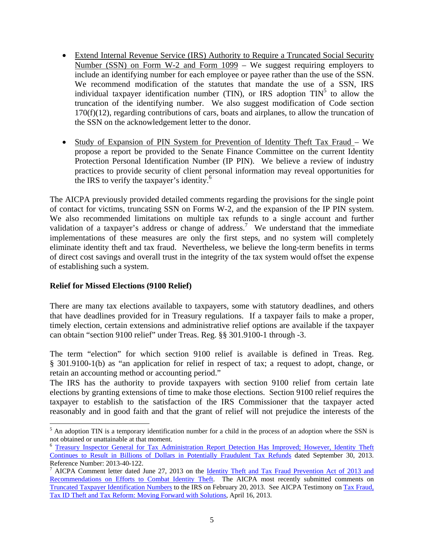- Extend Internal Revenue Service (IRS) Authority to Require a Truncated Social Security Number (SSN) on Form W-2 and Form 1099 – We suggest requiring employers to include an identifying number for each employee or payee rather than the use of the SSN. We recommend modification of the statutes that mandate the use of a SSN, IRS individual taxpayer identification number (TIN), or IRS adoption  $\text{TIN}^5$  to allow the truncation of the identifying number. We also suggest modification of Code section 170(f)(12), regarding contributions of cars, boats and airplanes, to allow the truncation of the SSN on the acknowledgement letter to the donor.
- Study of Expansion of PIN System for Prevention of Identity Theft Tax Fraud We propose a report be provided to the Senate Finance Committee on the current Identity Protection Personal Identification Number (IP PIN). We believe a review of industry practices to provide security of client personal information may reveal opportunities for the IRS to verify the taxpayer's identity.<sup>6</sup>

The AICPA previously provided detailed comments regarding the provisions for the single point of contact for victims, truncating SSN on Forms W-2, and the expansion of the IP PIN system. We also recommended limitations on multiple tax refunds to a single account and further validation of a taxpayer's address or change of address.<sup>7</sup> We understand that the immediate implementations of these measures are only the first steps, and no system will completely eliminate identity theft and tax fraud. Nevertheless, we believe the long-term benefits in terms of direct cost savings and overall trust in the integrity of the tax system would offset the expense of establishing such a system.

# **Relief for Missed Elections (9100 Relief)**

There are many tax elections available to taxpayers, some with statutory deadlines, and others that have deadlines provided for in Treasury regulations. If a taxpayer fails to make a proper, timely election, certain extensions and administrative relief options are available if the taxpayer can obtain "section 9100 relief" under Treas. Reg. §§ 301.9100-1 through -3.

The term "election" for which section 9100 relief is available is defined in Treas. Reg. § 301.9100-1(b) as "an application for relief in respect of tax; a request to adopt, change, or retain an accounting method or accounting period."

The IRS has the authority to provide taxpayers with section 9100 relief from certain late elections by granting extensions of time to make those elections. Section 9100 relief requires the taxpayer to establish to the satisfaction of the IRS Commissioner that the taxpayer acted reasonably and in good faith and that the grant of relief will not prejudice the interests of the

<sup>&</sup>lt;sup>5</sup> An adoption TIN is a temporary identification number for a child in the process of an adoption where the SSN is not obtained or unattainable at that moment.

<sup>&</sup>lt;sup>6</sup> Treasury Inspector General for Tax Administration Report Detection Has Improved; However, Identity Theft Continues to Result in Billions of Dollars in Potentially Fraudulent Tax Refunds dated September 30, 2013. Reference Number: 2013-40-122.

<sup>7</sup> AICPA Comment letter dated June 27, 2013 on the Identity Theft and Tax Fraud Prevention Act of 2013 and Recommendations on Efforts to Combat Identity Theft. The AICPA most recently submitted comments on Truncated Taxpayer Identification Numbers to the IRS on February 20, 2013. See AICPA Testimony on Tax Fraud, Tax ID Theft and Tax Reform: Moving Forward with Solutions, April 16, 2013.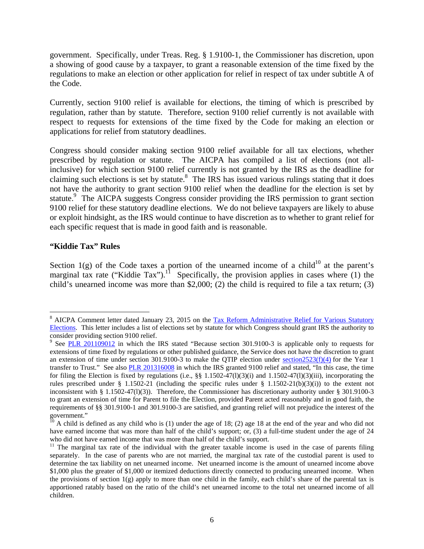government. Specifically, under Treas. Reg. § 1.9100-1, the Commissioner has discretion, upon a showing of good cause by a taxpayer, to grant a reasonable extension of the time fixed by the regulations to make an election or other application for relief in respect of tax under subtitle A of the Code.

Currently, section 9100 relief is available for elections, the timing of which is prescribed by regulation, rather than by statute. Therefore, section 9100 relief currently is not available with respect to requests for extensions of the time fixed by the Code for making an election or applications for relief from statutory deadlines.

Congress should consider making section 9100 relief available for all tax elections, whether prescribed by regulation or statute. The AICPA has compiled a list of elections (not allinclusive) for which section 9100 relief currently is not granted by the IRS as the deadline for claiming such elections is set by statute. $8$  The IRS has issued various rulings stating that it does not have the authority to grant section 9100 relief when the deadline for the election is set by statute.<sup>9</sup> The AICPA suggests Congress consider providing the IRS permission to grant section 9100 relief for these statutory deadline elections. We do not believe taxpayers are likely to abuse or exploit hindsight, as the IRS would continue to have discretion as to whether to grant relief for each specific request that is made in good faith and is reasonable.

### **"Kiddie Tax" Rules**

Section  $1(g)$  of the Code taxes a portion of the unearned income of a child<sup>10</sup> at the parent's marginal tax rate ("Kiddie Tax").<sup>11</sup> Specifically, the provision applies in cases where (1) the child's unearned income was more than \$2,000; (2) the child is required to file a tax return; (3)

<sup>&</sup>lt;sup>8</sup> AICPA Comment letter dated January 23, 2015 on the Tax Reform Administrative Relief for Various Statutory Elections. This letter includes a list of elections set by statute for which Congress should grant IRS the authority to consider providing section 9100 relief.

<sup>&</sup>lt;sup>9</sup> See PLR 201109012 in which the IRS stated "Because section 301.9100-3 is applicable only to requests for extensions of time fixed by regulations or other published guidance, the Service does not have the discretion to grant an extension of time under section 301.9100-3 to make the QTIP election under section2523(f)(4) for the Year 1 transfer to Trust." See also PLR 201316008 in which the IRS granted 9100 relief and stated, "In this case, the time for filing the Election is fixed by regulations (i.e.,  $\S$ § 1.1502-47(l)(3)(i) and 1.1502-47(l)(3)(iii), incorporating the rules prescribed under § 1.1502-21 (including the specific rules under § 1.1502-21(b)(3)(i)) to the extent not inconsistent with § 1.1502-47(l)(3)). Therefore, the Commissioner has discretionary authority under § 301.9100-3 to grant an extension of time for Parent to file the Election, provided Parent acted reasonably and in good faith, the requirements of §§ 301.9100-1 and 301.9100-3 are satisfied, and granting relief will not prejudice the interest of the government."

 $\frac{10}{10}$  A child is defined as any child who is (1) under the age of 18; (2) age 18 at the end of the year and who did not have earned income that was more than half of the child's support; or, (3) a full-time student under the age of 24 who did not have earned income that was more than half of the child's support.

 $11$  The marginal tax rate of the individual with the greater taxable income is used in the case of parents filing separately. In the case of parents who are not married, the marginal tax rate of the custodial parent is used to determine the tax liability on net unearned income. Net unearned income is the amount of unearned income above \$1,000 plus the greater of \$1,000 or itemized deductions directly connected to producing unearned income. When the provisions of section 1(g) apply to more than one child in the family, each child's share of the parental tax is apportioned ratably based on the ratio of the child's net unearned income to the total net unearned income of all children.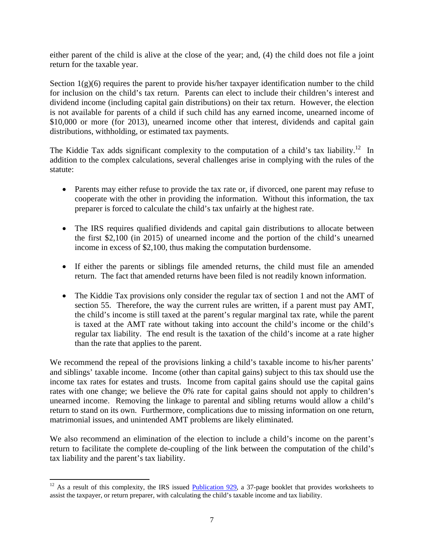either parent of the child is alive at the close of the year; and, (4) the child does not file a joint return for the taxable year.

Section  $1(g)(6)$  requires the parent to provide his/her taxpayer identification number to the child for inclusion on the child's tax return. Parents can elect to include their children's interest and dividend income (including capital gain distributions) on their tax return. However, the election is not available for parents of a child if such child has any earned income, unearned income of \$10,000 or more (for 2013), unearned income other that interest, dividends and capital gain distributions, withholding, or estimated tax payments.

The Kiddie Tax adds significant complexity to the computation of a child's tax liability.<sup>12</sup> In addition to the complex calculations, several challenges arise in complying with the rules of the statute:

- Parents may either refuse to provide the tax rate or, if divorced, one parent may refuse to cooperate with the other in providing the information. Without this information, the tax preparer is forced to calculate the child's tax unfairly at the highest rate.
- The IRS requires qualified dividends and capital gain distributions to allocate between the first \$2,100 (in 2015) of unearned income and the portion of the child's unearned income in excess of \$2,100, thus making the computation burdensome.
- If either the parents or siblings file amended returns, the child must file an amended return. The fact that amended returns have been filed is not readily known information.
- The Kiddie Tax provisions only consider the regular tax of section 1 and not the AMT of section 55. Therefore, the way the current rules are written, if a parent must pay AMT, the child's income is still taxed at the parent's regular marginal tax rate, while the parent is taxed at the AMT rate without taking into account the child's income or the child's regular tax liability. The end result is the taxation of the child's income at a rate higher than the rate that applies to the parent.

We recommend the repeal of the provisions linking a child's taxable income to his/her parents' and siblings' taxable income. Income (other than capital gains) subject to this tax should use the income tax rates for estates and trusts. Income from capital gains should use the capital gains rates with one change; we believe the 0% rate for capital gains should not apply to children's unearned income. Removing the linkage to parental and sibling returns would allow a child's return to stand on its own. Furthermore, complications due to missing information on one return, matrimonial issues, and unintended AMT problems are likely eliminated.

We also recommend an elimination of the election to include a child's income on the parent's return to facilitate the complete de-coupling of the link between the computation of the child's tax liability and the parent's tax liability.

 $12$  As a result of this complexity, the IRS issued **Publication 929**, a 37-page booklet that provides worksheets to assist the taxpayer, or return preparer, with calculating the child's taxable income and tax liability.